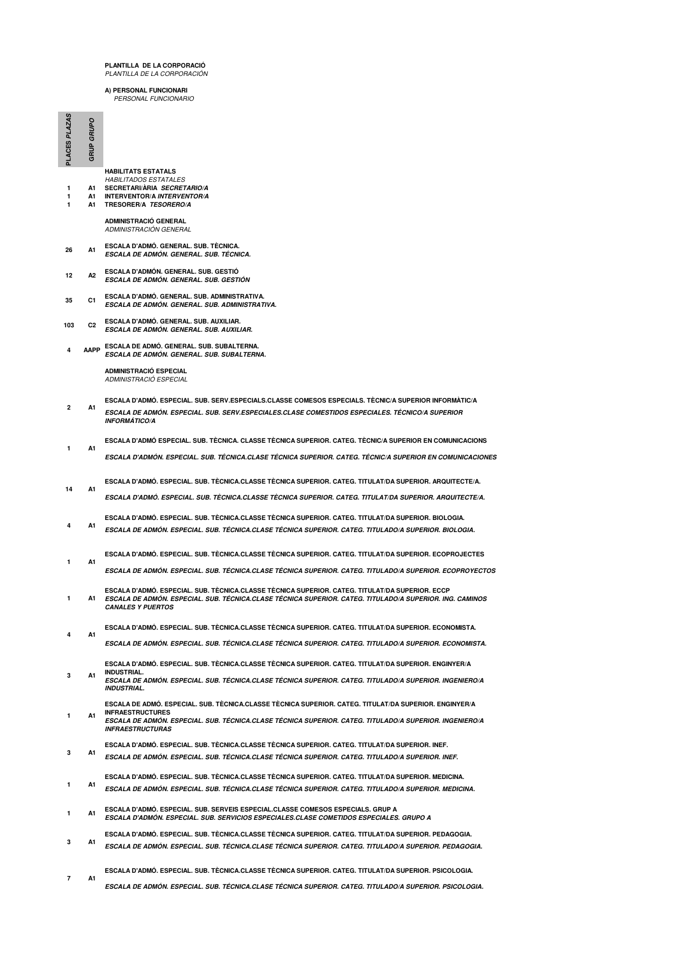## **PLANTILLA DE LA CORPORACIÓ** PLANTILLA DE LA CORPORACIÓN

**A) PERSONAL FUNCIONARI** PERSONAL FUNCIONARIO

| PLACES PLAZAS  | GRUP GRUPO     |                                                                                                                                                                                                                                                              |
|----------------|----------------|--------------------------------------------------------------------------------------------------------------------------------------------------------------------------------------------------------------------------------------------------------------|
| 1<br>1         |                | <b>HABILITATS ESTATALS</b><br><b>HABILITADOS ESTATALES</b><br>A1 SECRETARI/ARIA SECRETARIO/A<br>A1 INTERVENTOR/A INTERVENTOR/A<br>A1 TRESORER/A TESORERO/A                                                                                                   |
|                |                | <b>ADMINISTRACIÓ GENERAL</b><br>ADMINISTRACIÓN GENERAL                                                                                                                                                                                                       |
| 26             | A1             | ESCALA D'ADMÓ. GENERAL. SUB. TÈCNICA.<br>ESCALA DE ADMÓN. GENERAL. SUB. TÉCNICA.                                                                                                                                                                             |
| 12             | А2             | ESCALA D'ADMÓN. GENERAL. SUB. GESTIÓ<br>ESCALA DE ADMÓN. GENERAL. SUB. GESTIÓN                                                                                                                                                                               |
| 35             | C1             | ESCALA D'ADMÓ, GENERAL, SUB, ADMINISTRATIVA.<br>ESCALA DE ADMÓN, GENERAL, SUB, ADMINISTRATIVA,                                                                                                                                                               |
| 103            | C <sub>2</sub> | ESCALA D'ADMO. GENERAL. SUB. AUXILIAR.<br>ESCALA DE ADMON. GENERAL. SUB. AUXILIAR.                                                                                                                                                                           |
|                |                | AAPP ESCALA DE ADMÓ. GENERAL. SUB. SUBALTERNA.<br>ESCALA DE ADMÓN. GENERAL. SUB. SUBALTERNA.                                                                                                                                                                 |
|                |                | <b>ADMINISTRACIÓ ESPECIAL</b><br>ADMINISTRACIÓ ESPECIAL                                                                                                                                                                                                      |
| $\overline{2}$ | A1             | ESCALA D'ADMÓ. ESPECIAL. SUB. SERV.ESPECIALS.CLASSE COMESOS ESPECIALS. TÉCNIC/A SUPERIOR INFORMÀTIC/A<br>ESCALA DE ADMÓN. ESPECIAL. SUB. SERV.ESPECIALES.CLASE COMESTIDOS ESPECIALES. TÉCNICO/A SUPERIOR                                                     |
|                |                | <b>INFORMÁTICO/A</b>                                                                                                                                                                                                                                         |
| 1              | A1             | ESCALA D'ADMÓ ESPECIAL. SUB. TÈCNICA. CLASSE TÈCNICA SUPERIOR. CATEG. TÈCNIC/A SUPERIOR EN COMUNICACIONS                                                                                                                                                     |
|                |                | ESCALA D'ADMÓN. ESPECIAL. SUB. TÉCNICA.CLASE TÉCNICA SUPERIOR. CATEG. TÉCNIC/A SUPERIOR EN COMUNICACIONES                                                                                                                                                    |
| 14             | A1             | ESCALA D'ADMO. ESPECIAL. SUB. TÉCNICA.CLASSE TÉCNICA SUPERIOR. CATEG. TITULAT/DA SUPERIOR. ARQUITECTE/A.                                                                                                                                                     |
|                |                | ESCALA D'ADMÓ. ESPECIAL. SUB. TÉCNICA.CLASSE TÉCNICA SUPERIOR. CATEG. TITULAT/DA SUPERIOR. ARQUITECTE/A.                                                                                                                                                     |
|                | А1             | ESCALA D'ADMÓ. ESPECIAL. SUB. TÈCNICA.CLASSE TÈCNICA SUPERIOR. CATEG. TITULAT/DA SUPERIOR. BIOLOGIA.<br>ESCALA DE ADMÓN. ESPECIAL. SUB. TÉCNICA.CLASE TÉCNICA SUPERIOR. CATEG. TITULADO/A SUPERIOR. BIOLOGIA.                                                |
|                | A1             | ESCALA D'ADMÓ. ESPECIAL. SUB. TÈCNICA CLASSE TÈCNICA SUPERIOR. CATEG. TITULAT/DA SUPERIOR. ECOPROJECTES                                                                                                                                                      |
|                |                | ESCALA DE ADMÓN. ESPECIAL. SUB. TÉCNICA.CLASE TÉCNICA SUPERIOR. CATEG. TITULADO/A SUPERIOR. ECOPROYECTOS                                                                                                                                                     |
| 1              | A1             | ESCALA D'ADMÓ. ESPECIAL. SUB. TÈCNICA.CLASSE TÈCNICA SUPERIOR. CATEG. TITULAT/DA SUPERIOR. ECCP<br>ESCALA DE ADMÓN. ESPECIAL. SUB. TÉCNICA.CLASE TÉCNICA SUPERIOR. CATEG. TITULADO/A SUPERIOR. ING. CAMINOS<br><b>CANALES Y PUERTOS</b>                      |
| 4              | A1             | ESCALA D'ADMÓ. ESPECIAL. SUB. TÈCNICA CLASSE TÈCNICA SUPERIOR. CATEG. TITULAT/DA SUPERIOR. ECONOMISTA.                                                                                                                                                       |
|                |                | ESCALA DE ADMÓN. ESPECIAL. SUB. TÉCNICA.CLASE TÉCNICA SUPERIOR. CATEG. TITULADO/A SUPERIOR. ECONOMISTA.                                                                                                                                                      |
| 3              | А1             | ESCALA D'ADMÓ. ESPECIAL. SUB. TÉCNICA.CLASSE TÉCNICA SUPERIOR. CATEG. TITULAT/DA SUPERIOR. ENGINYER/A<br><b>INDUSTRIAL.</b><br>ESCALA DE ADMÓN. ESPECIAL. SUB. TÉCNICA.CLASE TÉCNICA SUPERIOR. CATEG. TITULADO/A SUPERIOR. INGENIERO/A<br><b>INDUSTRIAL.</b> |
| 1              | A1             | ESCALA DE ADMÓ. ESPECIAL. SUB. TÉCNICA CLASSE TÉCNICA SUPERIOR. CATEG. TITULAT/DA SUPERIOR. ENGINYER/A<br><b>INFRAESTRUCTURES</b><br>ESCALA DE ADMÓN. ESPECIAL. SUB. TÉCNICA.CLASE TÉCNICA SUPERIOR. CATEG. TITULADO/A SUPERIOR. INGENIERO/A                 |
| 3              | A1             | <b>INFRAESTRUCTURAS</b><br>ESCALA D'ADMÓ, ESPECIAL, SUB, TÈCNICA CLASSE TÈCNICA SUPERIOR, CATEG, TITULAT/DA SUPERIOR, INEF.<br>ESCALA DE ADMÓN. ESPECIAL. SUB. TÉCNICA.CLASE TÉCNICA SUPERIOR. CATEG. TITULADO/A SUPERIOR. INEF.                             |
| 1              | A1             | ESCALA D'ADMÓ. ESPECIAL. SUB. TÉCNICA.CLASSE TÉCNICA SUPERIOR. CATEG. TITULAT/DA SUPERIOR. MEDICINA.<br>ESCALA DE ADMÓN. ESPECIAL. SUB. TÉCNICA.CLASE TÉCNICA SUPERIOR. CATEG. TITULADO/A SUPERIOR. MEDICINA.                                                |
| 1              | А1             | ESCALA D'ADMÓ. ESPECIAL. SUB. SERVEIS ESPECIAL.CLASSE COMESOS ESPECIALS. GRUP A<br>ESCALA D'ADMÓN. ESPECIAL. SUB. SERVICIOS ESPECIALES.CLASE COMETIDOS ESPECIALES. GRUPO A                                                                                   |
| 3              | A1             | ESCALA D'ADMÓ. ESPECIAL. SUB. TÉCNICA.CLASSE TÉCNICA SUPERIOR. CATEG. TITULAT/DA SUPERIOR. PEDAGOGIA.<br>ESCALA DE ADMÓN. ESPECIAL. SUB. TÉCNICA.CLASE TÉCNICA SUPERIOR. CATEG. TITULADO/A SUPERIOR. PEDAGOGIA.                                              |
|                |                | ESCALA D'ADMÓ. ESPECIAL. SUB. TÉCNICA.CLASSE TÉCNICA SUPERIOR. CATEG. TITULAT/DA SUPERIOR. PSICOLOGIA.                                                                                                                                                       |

**ESCALA DE ADMÓN. ESPECIAL. SUB. TÉCNICA.CLASE TÉCNICA SUPERIOR. CATEG. TITULADO/A SUPERIOR. PSICOLOGIA. 7 A1**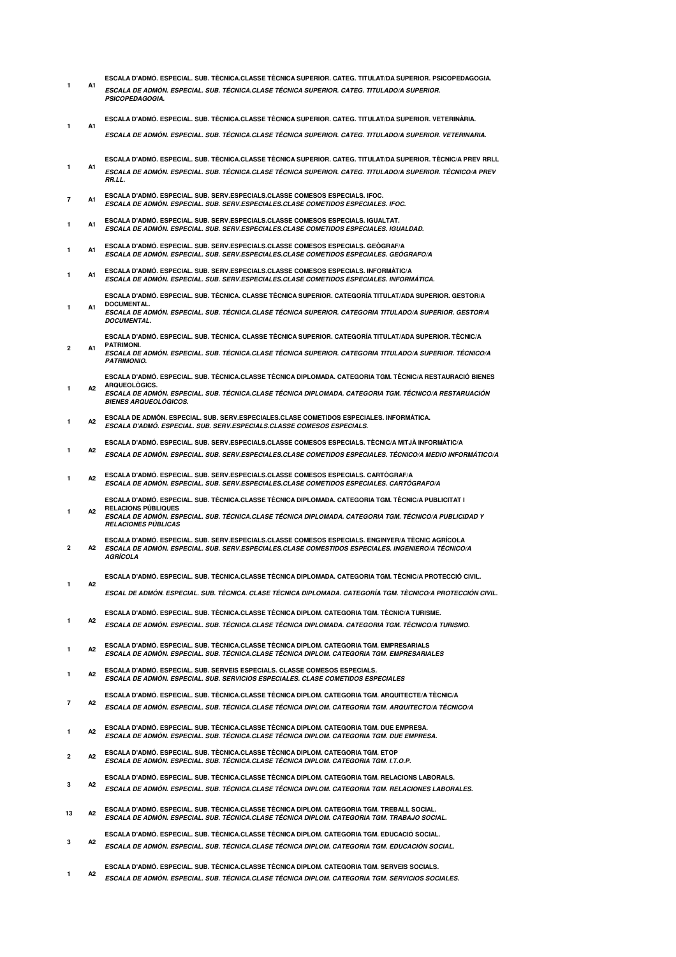- **ESCALA D'ADMÓ. ESPECIAL. SUB. TÈCNICA.CLASSE TÈCNICA SUPERIOR. CATEG. TITULAT/DA SUPERIOR. PSICOPEDAGOGIA. ESCALA DE ADMÓN. ESPECIAL. SUB. TÉCNICA.CLASE TÉCNICA SUPERIOR. CATEG. TITULADO/A SUPERIOR. PSICOPEDAGOGIA. 1 A1**
- **ESCALA D'ADMÓ. ESPECIAL. SUB. TÈCNICA.CLASSE TÈCNICA SUPERIOR. CATEG. TITULAT/DA SUPERIOR. VETERINÀRIA. 1 A1**
	- **ESCALA DE ADMÓN. ESPECIAL. SUB. TÉCNICA.CLASE TÉCNICA SUPERIOR. CATEG. TITULADO/A SUPERIOR. VETERINARIA.**
- **ESCALA D'ADMÓ. ESPECIAL. SUB. TÈCNICA.CLASSE TÈCNICA SUPERIOR. CATEG. TITULAT/DA SUPERIOR. TÈCNIC/A PREV RRLL ESCALA DE ADMÓN. ESPECIAL. SUB. TÉCNICA.CLASE TÉCNICA SUPERIOR. CATEG. TITULADO/A SUPERIOR. TÉCNICO/A PREV RR.LL. 1 A1**
- **ESCALA D'ADMÓ. ESPECIAL. SUB. SERV.ESPECIALS.CLASSE COMESOS ESPECIALS. IFOC. ESCALA DE ADMÓN. ESPECIAL. SUB. SERV.ESPECIALES.CLASE COMETIDOS ESPECIALES. IFOC. 7 A1**
- **ESCALA D'ADMÓ. ESPECIAL. SUB. SERV.ESPECIALS.CLASSE COMESOS ESPECIALS. IGUALTAT. ESCALA DE ADMÓN. ESPECIAL. SUB. SERV.ESPECIALES.CLASE COMETIDOS ESPECIALES. IGUALDAD. 1 A1**
- **ESCALA D'ADMÓ. ESPECIAL. SUB. SERV.ESPECIALS.CLASSE COMESOS ESPECIALS. GEÒGRAF/A ESCALA DE ADMÓN. ESPECIAL. SUB. SERV.ESPECIALES.CLASE COMETIDOS ESPECIALES. GEÓGRAFO/A 1 A1**
- ESCALA D'ADMO. ESPECIAL. SUB. SERV.ESPECIALS.CLASSE COMESOS ESPECIALS. INFORMATIC/A<br>*ESCALA DE ADMÓN. ESPECIAL. SUB. SERV.ESPECIALES.CLASE COMETIDOS ESPECIALES. INFORMÁTICA.* **1 A1**
- **ESCALA D'ADMÓ. ESPECIAL. SUB. TÈCNICA. CLASSE TÈCNICA SUPERIOR. CATEGORÍA TITULAT/ADA SUPERIOR. GESTOR/A DOCUMENTAL. ESCALA DE ADMÓN. ESPECIAL. SUB. TÉCNICA.CLASE TÉCNICA SUPERIOR. CATEGORIA TITULADO/A SUPERIOR. GESTOR/A DOCUMENTAL. 1 A1**
	- **ESCALA D'ADMÓ. ESPECIAL. SUB. TÈCNICA. CLASSE TÈCNICA SUPERIOR. CATEGORÍA TITULAT/ADA SUPERIOR. TÈCNIC/A PATRIMONI.**
- **ESCALA DE ADMÓN. ESPECIAL. SUB. TÉCNICA.CLASE TÉCNICA SUPERIOR. CATEGORIA TITULADO/A SUPERIOR. TÉCNICO/A PATRIMONIO. 2 A1**
	- **ESCALA D'ADMÓ. ESPECIAL. SUB. TÈCNICA.CLASSE TÈCNICA DIPLOMADA. CATEGORIA TGM. TÈCNIC/A RESTAURACIÓ BIENES ARQUEOLÒGICS. 1 A2**
- **ESCALA DE ADMÓN. ESPECIAL. SUB. TÉCNICA.CLASE TÉCNICA DIPLOMADA. CATEGORIA TGM. TÉCNICO/A RESTARUACIÓN BIENES ARQUEOLÓGICOS.**
- **ESCALA DE ADMÓN. ESPECIAL. SUB. SERV.ESPECIALES.CLASE COMETIDOS ESPECIALES. INFORMÁTICA. ESCALA D'ADMÓ. ESPECIAL. SUB. SERV.ESPECIALS.CLASSE COMESOS ESPECIALS. 1 A2**
- **ESCALA D'ADMÓ. ESPECIAL. SUB. SERV.ESPECIALS.CLASSE COMESOS ESPECIALS. TÈCNIC/A MITJÀ INFORMÀTIC/A ESCALA DE ADMÓN. ESPECIAL. SUB. SERV.ESPECIALES.CLASE COMETIDOS ESPECIALES. TÉCNICO/A MEDIO INFORMÁTICO/A A2 1**
- **ESCALA D'ADMÓ. ESPECIAL. SUB. SERV.ESPECIALS.CLASSE COMESOS ESPECIALS. CARTÒGRAF/A 1 A2**
- **ESCALA DE ADMÓN. ESPECIAL. SUB. SERV.ESPECIALES.CLASE COMETIDOS ESPECIALES. CARTÓGRAFO/A ESCALA D'ADMÓ. ESPECIAL. SUB. TÈCNICA.CLASSE TÈCNICA DIPLOMADA. CATEGORIA TGM. TÈCNIC/A PUBLICITAT I**
- **RELACIONS PÚBLIQUES ESCALA DE ADMÓN. ESPECIAL. SUB. TÉCNICA.CLASE TÉCNICA DIPLOMADA. CATEGORIA TGM. TÉCNICO/A PUBLICIDAD Y RELACIONES PÚBLICAS 1 A2**
- **ESCALA D'ADMÓ. ESPECIAL. SUB. SERV.ESPECIALS.CLASSE COMESOS ESPECIALS. ENGINYER/A TÈCNIC AGRÍCOLA ESCALA DE ADMÓN. ESPECIAL. SUB. SERV.ESPECIALES.CLASE COMESTIDOS ESPECIALES. INGENIERO/A TÉCNICO/A AGRÍCOLA 2 A2**
- **ESCALA D'ADMÓ. ESPECIAL. SUB. TÈCNICA.CLASSE TÈCNICA DIPLOMADA. CATEGORIA TGM. TÈCNIC/A PROTECCIÓ CIVIL. 1 A2**
	- **ESCAL DE ADMÓN. ESPECIAL. SUB. TÉCNICA. CLASE TÉCNICA DIPLOMADA. CATEGORÍA TGM. TÈCNICO/A PROTECCIÓN CIVIL.**
		- **ESCALA D'ADMÓ. ESPECIAL. SUB. TÈCNICA.CLASSE TÈCNICA DIPLOM. CATEGORIA TGM. TÈCNIC/A TURISME.**
- **ESCALA DE ADMÓN. ESPECIAL. SUB. TÉCNICA.CLASE TÉCNICA DIPLOMADA. CATEGORIA TGM. TÉCNICO/A TURISMO. 1 A2**
- **ESCALA D'ADMÓ. ESPECIAL. SUB. TÈCNICA.CLASSE TÈCNICA DIPLOM. CATEGORIA TGM. EMPRESARIALS ESCALA DE ADMÓN. ESPECIAL. SUB. TÉCNICA.CLASE TÉCNICA DIPLOM. CATEGORIA TGM. EMPRESARIALES 1 A2**
- **ESCALA D'ADMÓ. ESPECIAL. SUB. SERVEIS ESPECIALS. CLASSE COMESOS ESPECIALS. ESCALA DE ADMÓN. ESPECIAL. SUB. SERVICIOS ESPECIALES. CLASE COMETIDOS ESPECIALES 1 A2**
- **ESCALA D'ADMÓ. ESPECIAL. SUB. TÈCNICA.CLASSE TÈCNICA DIPLOM. CATEGORIA TGM. ARQUITECTE/A TÈCNIC/A ESCALA DE ADMÓN. ESPECIAL. SUB. TÉCNICA.CLASE TÉCNICA DIPLOM. CATEGORIA TGM. ARQUITECTO/A TÉCNICO/A 7 A2**
- **ESCALA D'ADMÓ. ESPECIAL. SUB. TÈCNICA.CLASSE TÈCNICA DIPLOM. CATEGORIA TGM. DUE EMPRESA. ESCALA DE ADMÓN. ESPECIAL. SUB. TÉCNICA.CLASE TÉCNICA DIPLOM. CATEGORIA TGM. DUE EMPRESA. 1 A2**
- **ESCALA D'ADMÓ. ESPECIAL. SUB. TÈCNICA.CLASSE TÈCNICA DIPLOM. CATEGORIA TGM. ETOP ESCALA DE ADMÓN. ESPECIAL. SUB. TÉCNICA.CLASE TÉCNICA DIPLOM. CATEGORIA TGM. I.T.O.P. 2 A2**
- **ESCALA D'ADMÓ. ESPECIAL. SUB. TÈCNICA.CLASSE TÈCNICA DIPLOM. CATEGORIA TGM. RELACIONS LABORALS. ESCALA DE ADMÓN. ESPECIAL. SUB. TÉCNICA.CLASE TÉCNICA DIPLOM. CATEGORIA TGM. RELACIONES LABORALES. 3 A2**
- **ESCALA D'ADMÓ. ESPECIAL. SUB. TÈCNICA.CLASSE TÈCNICA DIPLOM. CATEGORIA TGM. TREBALL SOCIAL. ESCALA DE ADMÓN. ESPECIAL. SUB. TÉCNICA.CLASE TÉCNICA DIPLOM. CATEGORIA TGM. TRABAJO SOCIAL. 13 A2**
- **ESCALA D'ADMÓ. ESPECIAL. SUB. TÈCNICA.CLASSE TÈCNICA DIPLOM. CATEGORIA TGM. EDUCACIÓ SOCIAL. ESCALA DE ADMÓN. ESPECIAL. SUB. TÉCNICA.CLASE TÉCNICA DIPLOM. CATEGORIA TGM. EDUCACIÓN SOCIAL. 3 A2**
- **ESCALA D'ADMÓ. ESPECIAL. SUB. TÈCNICA.CLASSE TÈCNICA DIPLOM. CATEGORIA TGM. SERVEIS SOCIALS. ESCALA DE ADMÓN. ESPECIAL. SUB. TÉCNICA.CLASE TÉCNICA DIPLOM. CATEGORIA TGM. SERVICIOS SOCIALES. 1 A2**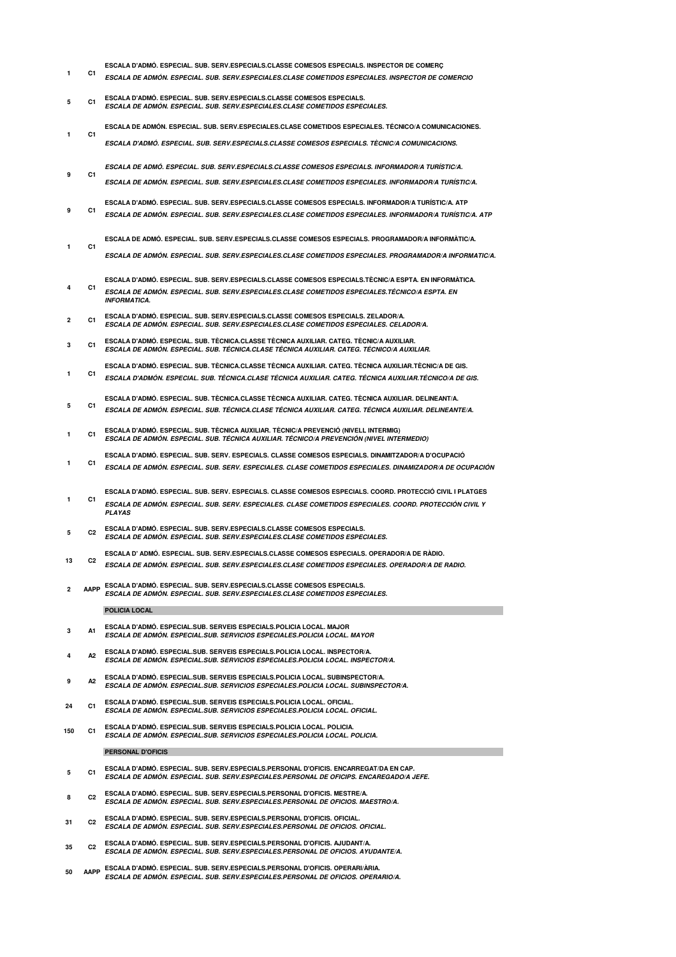- **ESCALA D'ADMÓ. ESPECIAL. SUB. SERV.ESPECIALS.CLASSE COMESOS ESPECIALS. INSPECTOR DE COMERÇ ESCALA DE ADMÓN. ESPECIAL. SUB. SERV.ESPECIALES.CLASE COMETIDOS ESPECIALES. INSPECTOR DE COMERCIO 1 C1**
- **ESCALA D'ADMÓ. ESPECIAL. SUB. SERV.ESPECIALS.CLASSE COMESOS ESPECIALS. ESCALA DE ADMÓN. ESPECIAL. SUB. SERV.ESPECIALES.CLASE COMETIDOS ESPECIALES. 5 C1**
- **ESCALA DE ADMÓN. ESPECIAL. SUB. SERV.ESPECIALES.CLASE COMETIDOS ESPECIALES. TÉCNICO/A COMUNICACIONES. 1 C1**
	- **ESCALA D'ADMÓ. ESPECIAL. SUB. SERV.ESPECIALS.CLASSE COMESOS ESPECIALS. TÈCNIC/A COMUNICACIONS.**
- **ESCALA DE ADMÓ. ESPECIAL. SUB. SERV.ESPECIALS.CLASSE COMESOS ESPECIALS. INFORMADOR/A TURÍSTIC/A. 9 C1**
- **ESCALA DE ADMÓN. ESPECIAL. SUB. SERV.ESPECIALES.CLASE COMETIDOS ESPECIALES. INFORMADOR/A TURÍSTIC/A.**
- **ESCALA D'ADMÓ. ESPECIAL. SUB. SERV.ESPECIALS.CLASSE COMESOS ESPECIALS. INFORMADOR/A TURÍSTIC/A. ATP ESCALA DE ADMÓN. ESPECIAL. SUB. SERV.ESPECIALES.CLASE COMETIDOS ESPECIALES. INFORMADOR/A TURÍSTIC/A. ATP 9 C1**
- **ESCALA DE ADMÓ. ESPECIAL. SUB. SERV.ESPECIALS.CLASSE COMESOS ESPECIALS. PROGRAMADOR/A INFORMÀTIC/A. 1 C1**
	- **ESCALA DE ADMÓN. ESPECIAL. SUB. SERV.ESPECIALES.CLASE COMETIDOS ESPECIALES. PROGRAMADOR/A INFORMATIC/A.**
- **ESCALA D'ADMÓ. ESPECIAL. SUB. SERV.ESPECIALS.CLASSE COMESOS ESPECIALS.TÈCNIC/A ESPTA. EN INFORMÀTICA. ESCALA DE ADMÓN. ESPECIAL. SUB. SERV.ESPECIALES.CLASE COMETIDOS ESPECIALES.TÉCNICO/A ESPTA. EN INFORMATICA. 4 C1**
- **ESCALA D'ADMÓ. ESPECIAL. SUB. SERV.ESPECIALS.CLASSE COMESOS ESPECIALS. ZELADOR/A. ESCALA DE ADMÓN. ESPECIAL. SUB. SERV.ESPECIALES.CLASE COMETIDOS ESPECIALES. CELADOR/A. 2 C1**
- **ESCALA D'ADMÓ. ESPECIAL. SUB. TÈCNICA.CLASSE TÈCNICA AUXILIAR. CATEG. TÈCNIC/A AUXILIAR. ESCALA DE ADMÓN. ESPECIAL. SUB. TÉCNICA.CLASE TÉCNICA AUXILIAR. CATEG. TÉCNICO/A AUXILIAR. 3 C1**
- **ESCALA D'ADMÓ. ESPECIAL. SUB. TÈCNICA.CLASSE TÈCNICA AUXILIAR. CATEG. TÈCNICA AUXILIAR.TÈCNIC/A DE GIS. ESCALA D'ADMÓN. ESPECIAL. SUB. TÉCNICA.CLASE TÉCNICA AUXILIAR. CATEG. TÉCNICA AUXILIAR.TÉCNICO/A DE GIS. 1 C1**
- **ESCALA D'ADMÓ. ESPECIAL. SUB. TÈCNICA.CLASSE TÈCNICA AUXILIAR. CATEG. TÈCNICA AUXILIAR. DELINEANT/A. ESCALA DE ADMÓN. ESPECIAL. SUB. TÉCNICA.CLASE TÉCNICA AUXILIAR. CATEG. TÉCNICA AUXILIAR. DELINEANTE/A. 5 C1**
- **ESCALA D'ADMÓ. ESPECIAL. SUB. TÈCNICA AUXILIAR. TÈCNIC/A PREVENCIÓ (NIVELL INTERMIG) ESCALA DE ADMÓN. ESPECIAL. SUB. TÉCNICA AUXILIAR. TÉCNICO/A PREVENCIÓN (NIVEL INTERMEDIO) 1 C1**
- **ESCALA D'ADMÓ. ESPECIAL. SUB. SERV. ESPECIALS. CLASSE COMESOS ESPECIALS. DINAMITZADOR/A D'OCUPACIÓ**
- **ESCALA DE ADMÓN. ESPECIAL. SUB. SERV. ESPECIALES. CLASE COMETIDOS ESPECIALES. DINAMIZADOR/A DE OCUPACIÓN 1 C1**
- **ESCALA D'ADMÓ. ESPECIAL. SUB. SERV. ESPECIALS. CLASSE COMESOS ESPECIALS. COORD. PROTECCIÓ CIVIL I PLATGES ESCALA DE ADMÓN. ESPECIAL. SUB. SERV. ESPECIALES. CLASE COMETIDOS ESPECIALES. COORD. PROTECCIÓN CIVIL Y PLAYAS 1 C1**
- **ESCALA D'ADMÓ. ESPECIAL. SUB. SERV.ESPECIALS.CLASSE COMESOS ESPECIALS. ESCALA DE ADMÓN. ESPECIAL. SUB. SERV.ESPECIALES.CLASE COMETIDOS ESPECIALES. 5 C2**
- **ESCALA D' ADMÓ. ESPECIAL. SUB. SERV.ESPECIALS.CLASSE COMESOS ESPECIALS. OPERADOR/A DE RÀDIO.**
- **ESCALA DE ADMÓN. ESPECIAL. SUB. SERV.ESPECIALES.CLASE COMETIDOS ESPECIALES. OPERADOR/A DE RADIO. 13 C2**
- **ESCALA D'ADMÓ. ESPECIAL. SUB. SERV.ESPECIALS.CLASSE COMESOS ESPECIALS. ESCALA DE ADMÓN. ESPECIAL. SUB. SERV.ESPECIALES.CLASE COMETIDOS ESPECIALES. AAPP 2**

## **POLICIA LOCAL**

- **ESCALA D'ADMÓ. ESPECIAL.SUB. SERVEIS ESPECIALS.POLICIA LOCAL. MAJOR ESCALA DE ADMÓN. ESPECIAL.SUB. SERVICIOS ESPECIALES.POLICIA LOCAL. MAYOR 3 A1**
- **ESCALA D'ADMÓ. ESPECIAL.SUB. SERVEIS ESPECIALS.POLICIA LOCAL. INSPECTOR/A. ESCALA DE ADMÓN. ESPECIAL.SUB. SERVICIOS ESPECIALES.POLICIA LOCAL. INSPECTOR/A. A2 4**
- **ESCALA D'ADMÓ. ESPECIAL.SUB. SERVEIS ESPECIALS.POLICIA LOCAL. SUBINSPECTOR/A. ESCALA DE ADMÓN. ESPECIAL.SUB. SERVICIOS ESPECIALES.POLICIA LOCAL. SUBINSPECTOR/A. 9 A2**
- **ESCALA D'ADMÓ. ESPECIAL.SUB. SERVEIS ESPECIALS.POLICIA LOCAL. OFICIAL. ESCALA DE ADMÓN. ESPECIAL.SUB. SERVICIOS ESPECIALES.POLICIA LOCAL. OFICIAL. 24 C1**
- **ESCALA D'ADMÓ. ESPECIAL.SUB. SERVEIS ESPECIALS.POLICIA LOCAL. POLICIA. ESCALA DE ADMÓN. ESPECIAL.SUB. SERVICIOS ESPECIALES.POLICIA LOCAL. POLICIA. 150 C1**

## **PERSONAL D'OFICIS**

- **ESCALA D'ADMÓ. ESPECIAL. SUB. SERV.ESPECIALS.PERSONAL D'OFICIS. ENCARREGAT/DA EN CAP. ESCALA DE ADMÓN. ESPECIAL. SUB. SERV.ESPECIALES.PERSONAL DE OFICIPS. ENCAREGADO/A JEFE. 5 C1**
- **ESCALA D'ADMÓ. ESPECIAL. SUB. SERV.ESPECIALS.PERSONAL D'OFICIS. MESTRE/A. ESCALA DE ADMÓN. ESPECIAL. SUB. SERV.ESPECIALES.PERSONAL DE OFICIOS. MAESTRO/A. 8 C2**
- **ESCALA D'ADMÓ. ESPECIAL. SUB. SERV.ESPECIALS.PERSONAL D'OFICIS. OFICIAL. ESCALA DE ADMÓN. ESPECIAL. SUB. SERV.ESPECIALES.PERSONAL DE OFICIOS. OFICIAL. 31 C2**
- **ESCALA D'ADMÓ. ESPECIAL. SUB. SERV.ESPECIALS.PERSONAL D'OFICIS. AJUDANT/A. ESCALA DE ADMÓN. ESPECIAL. SUB. SERV.ESPECIALES.PERSONAL DE OFICIOS. AYUDANTE/A. 35 C2**
- **ESCALA D'ADMÓ. ESPECIAL. SUB. SERV.ESPECIALS.PERSONAL D'OFICIS. OPERARI/ÀRIA. ESCALA DE ADMÓN. ESPECIAL. SUB. SERV.ESPECIALES.PERSONAL DE OFICIOS. OPERARIO/A. 50 AAPP**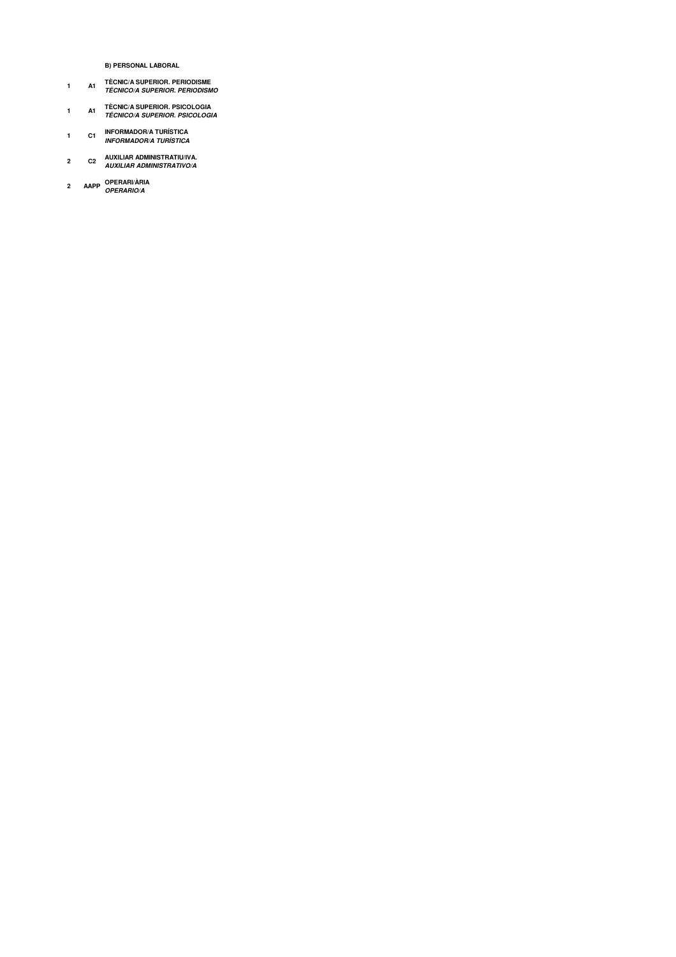**B) PERSONAL LABORAL** 

- **A1 TÈCNIC/A SUPERIOR. PERIODISME<br>TÉCNICO/A SUPERIOR. PERIODISMO**  $\mathbf{1}$
- TÈCNIC/A SUPERIOR. PSICOLOGIA<br>*TÉCNICO/A SUPERIOR. PSICOLOGIA*  $\mathbf 1$  $A1$
- C1 INFORMADOR/A TURÍSTICA<br>I*NFORMADOR/A TURÍSTICA*  $\mathbf{1}$
- $\mathbf 2$
- 2 AAPP OPERARI/ÀRIA<br>OPERARIO/A